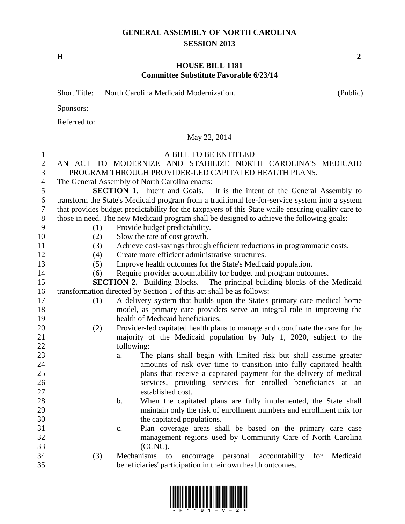## **GENERAL ASSEMBLY OF NORTH CAROLINA SESSION 2013**

**H 2**

## **HOUSE BILL 1181 Committee Substitute Favorable 6/23/14**

|                | <b>Short Title:</b>                                                                                | North Carolina Medicaid Modernization.                                             | (Public) |  |  |
|----------------|----------------------------------------------------------------------------------------------------|------------------------------------------------------------------------------------|----------|--|--|
|                | Sponsors:                                                                                          |                                                                                    |          |  |  |
|                | Referred to:                                                                                       |                                                                                    |          |  |  |
|                |                                                                                                    | May 22, 2014                                                                       |          |  |  |
| $\mathbf{1}$   |                                                                                                    | A BILL TO BE ENTITLED                                                              |          |  |  |
| $\overline{2}$ |                                                                                                    | AN ACT TO MODERNIZE AND STABILIZE NORTH CAROLINA'S MEDICAID                        |          |  |  |
| 3              | PROGRAM THROUGH PROVIDER-LED CAPITATED HEALTH PLANS.                                               |                                                                                    |          |  |  |
| 4              | The General Assembly of North Carolina enacts:                                                     |                                                                                    |          |  |  |
| 5              | <b>SECTION 1.</b> Intent and Goals. – It is the intent of the General Assembly to                  |                                                                                    |          |  |  |
| 6              | transform the State's Medicaid program from a traditional fee-for-service system into a system     |                                                                                    |          |  |  |
| 7              | that provides budget predictability for the taxpayers of this State while ensuring quality care to |                                                                                    |          |  |  |
| 8              | those in need. The new Medicaid program shall be designed to achieve the following goals:          |                                                                                    |          |  |  |
| 9              | (1)                                                                                                | Provide budget predictability.                                                     |          |  |  |
| 10             | (2)                                                                                                | Slow the rate of cost growth.                                                      |          |  |  |
| 11             | (3)                                                                                                | Achieve cost-savings through efficient reductions in programmatic costs.           |          |  |  |
| 12             | (4)                                                                                                | Create more efficient administrative structures.                                   |          |  |  |
| 13             | (5)                                                                                                | Improve health outcomes for the State's Medicaid population.                       |          |  |  |
| 14             | (6)                                                                                                | Require provider accountability for budget and program outcomes.                   |          |  |  |
| 15             |                                                                                                    | <b>SECTION 2.</b> Building Blocks. - The principal building blocks of the Medicaid |          |  |  |
| 16             |                                                                                                    | transformation directed by Section 1 of this act shall be as follows:              |          |  |  |
| 17             | (1)                                                                                                | A delivery system that builds upon the State's primary care medical home           |          |  |  |
| 18             |                                                                                                    | model, as primary care providers serve an integral role in improving the           |          |  |  |
| 19             |                                                                                                    | health of Medicaid beneficiaries.                                                  |          |  |  |
| 20             | (2)                                                                                                | Provider-led capitated health plans to manage and coordinate the care for the      |          |  |  |
| 21             | majority of the Medicaid population by July 1, 2020, subject to the                                |                                                                                    |          |  |  |
| 22             |                                                                                                    | following:                                                                         |          |  |  |
| 23             |                                                                                                    | The plans shall begin with limited risk but shall assume greater<br>a.             |          |  |  |
| 24             |                                                                                                    | amounts of risk over time to transition into fully capitated health                |          |  |  |
| 25             |                                                                                                    | plans that receive a capitated payment for the delivery of medical                 |          |  |  |
| 26             |                                                                                                    | services, providing services for enrolled beneficiaries at an                      |          |  |  |
| 27             |                                                                                                    | established cost.                                                                  |          |  |  |
| 28             |                                                                                                    | When the capitated plans are fully implemented, the State shall<br>b.              |          |  |  |
| 29             |                                                                                                    | maintain only the risk of enrollment numbers and enrollment mix for                |          |  |  |
| 30             |                                                                                                    | the capitated populations.                                                         |          |  |  |
| 31             |                                                                                                    | Plan coverage areas shall be based on the primary care case<br>c.                  |          |  |  |
| 32             |                                                                                                    | management regions used by Community Care of North Carolina                        |          |  |  |
| 33             |                                                                                                    | (CCNC).                                                                            |          |  |  |
| 34             | (3)                                                                                                | Mechanisms to<br>personal<br>accountability for<br>encourage                       | Medicaid |  |  |
| 35             |                                                                                                    | beneficiaries' participation in their own health outcomes.                         |          |  |  |

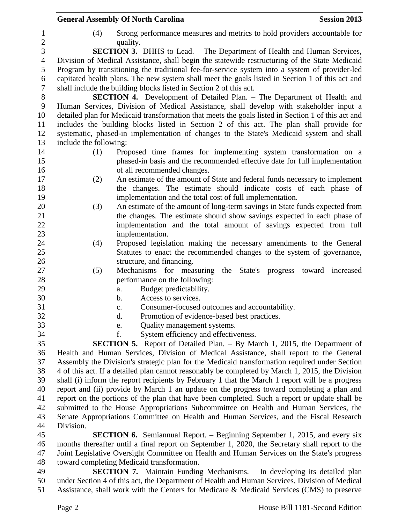|                                                                                                | <b>General Assembly Of North Carolina</b>                                                          | <b>Session 2013</b> |  |
|------------------------------------------------------------------------------------------------|----------------------------------------------------------------------------------------------------|---------------------|--|
| (4)                                                                                            | Strong performance measures and metrics to hold providers accountable for<br>quality.              |                     |  |
|                                                                                                | <b>SECTION 3.</b> DHHS to Lead. – The Department of Health and Human Services,                     |                     |  |
|                                                                                                | Division of Medical Assistance, shall begin the statewide restructuring of the State Medicaid      |                     |  |
|                                                                                                | Program by transitioning the traditional fee-for-service system into a system of provider-led      |                     |  |
|                                                                                                | capitated health plans. The new system shall meet the goals listed in Section 1 of this act and    |                     |  |
|                                                                                                | shall include the building blocks listed in Section 2 of this act.                                 |                     |  |
|                                                                                                | <b>SECTION 4.</b> Development of Detailed Plan. – The Department of Health and                     |                     |  |
|                                                                                                | Human Services, Division of Medical Assistance, shall develop with stakeholder input a             |                     |  |
|                                                                                                | detailed plan for Medicaid transformation that meets the goals listed in Section 1 of this act and |                     |  |
|                                                                                                | includes the building blocks listed in Section 2 of this act. The plan shall provide for           |                     |  |
|                                                                                                | systematic, phased-in implementation of changes to the State's Medicaid system and shall           |                     |  |
| include the following:                                                                         |                                                                                                    |                     |  |
| (1)                                                                                            | Proposed time frames for implementing system transformation on a                                   |                     |  |
|                                                                                                | phased-in basis and the recommended effective date for full implementation                         |                     |  |
|                                                                                                | of all recommended changes.                                                                        |                     |  |
| (2)                                                                                            | An estimate of the amount of State and federal funds necessary to implement                        |                     |  |
|                                                                                                | the changes. The estimate should indicate costs of each phase of                                   |                     |  |
|                                                                                                | implementation and the total cost of full implementation.                                          |                     |  |
| (3)                                                                                            | An estimate of the amount of long-term savings in State funds expected from                        |                     |  |
|                                                                                                | the changes. The estimate should show savings expected in each phase of                            |                     |  |
|                                                                                                | implementation and the total amount of savings expected from full                                  |                     |  |
|                                                                                                | implementation.                                                                                    |                     |  |
| (4)                                                                                            | Proposed legislation making the necessary amendments to the General                                |                     |  |
|                                                                                                | Statutes to enact the recommended changes to the system of governance,                             |                     |  |
|                                                                                                | structure, and financing.                                                                          |                     |  |
| (5)                                                                                            | Mechanisms for measuring<br>the State's progress toward increased                                  |                     |  |
|                                                                                                | performance on the following:                                                                      |                     |  |
|                                                                                                | Budget predictability.<br>a.<br>Access to services.<br>b.                                          |                     |  |
|                                                                                                | Consumer-focused outcomes and accountability.                                                      |                     |  |
|                                                                                                | c.<br>$\mathbf{d}$ .<br>Promotion of evidence-based best practices.                                |                     |  |
|                                                                                                | Quality management systems.<br>e.                                                                  |                     |  |
|                                                                                                | System efficiency and effectiveness.<br>f.                                                         |                     |  |
|                                                                                                | <b>SECTION 5.</b> Report of Detailed Plan. – By March 1, 2015, the Department of                   |                     |  |
|                                                                                                | Health and Human Services, Division of Medical Assistance, shall report to the General             |                     |  |
|                                                                                                | Assembly the Division's strategic plan for the Medicaid transformation required under Section      |                     |  |
|                                                                                                | 4 of this act. If a detailed plan cannot reasonably be completed by March 1, 2015, the Division    |                     |  |
|                                                                                                | shall (i) inform the report recipients by February 1 that the March 1 report will be a progress    |                     |  |
|                                                                                                | report and (ii) provide by March 1 an update on the progress toward completing a plan and          |                     |  |
|                                                                                                | report on the portions of the plan that have been completed. Such a report or update shall be      |                     |  |
|                                                                                                | submitted to the House Appropriations Subcommittee on Health and Human Services, the               |                     |  |
|                                                                                                | Senate Appropriations Committee on Health and Human Services, and the Fiscal Research              |                     |  |
| Division.                                                                                      |                                                                                                    |                     |  |
|                                                                                                | <b>SECTION 6.</b> Semiannual Report. – Beginning September 1, 2015, and every six                  |                     |  |
| months thereafter until a final report on September 1, 2020, the Secretary shall report to the |                                                                                                    |                     |  |
| Joint Legislative Oversight Committee on Health and Human Services on the State's progress     |                                                                                                    |                     |  |
|                                                                                                | toward completing Medicaid transformation.                                                         |                     |  |
|                                                                                                | <b>SECTION 7.</b> Maintain Funding Mechanisms. $-$ In developing its detailed plan                 |                     |  |

 **SECTION 7.** Maintain Funding Mechanisms. – In developing its detailed plan under Section 4 of this act, the Department of Health and Human Services, Division of Medical Assistance, shall work with the Centers for Medicare & Medicaid Services (CMS) to preserve